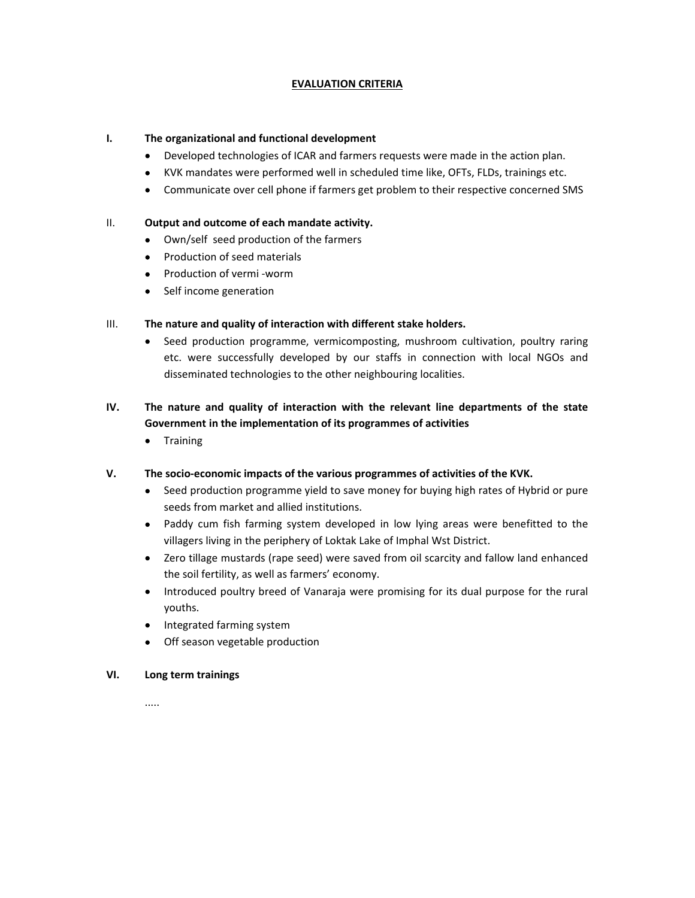# **EVALUATION CRITERIA**

## **I. The organizational and functional development**

- Developed technologies of ICAR and farmers requests were made in the action plan.
- KVK mandates were performed well in scheduled time like, OFTs, FLDs, trainings etc.
- Communicate over cell phone if farmers get problem to their respective concerned SMS

## II. **Output and outcome of each mandate activity.**

- Own/self seed production of the farmers
- Production of seed materials
- Production of vermi -worm
- Self income generation

# III. **The nature and quality of interaction with different stake holders.**

• Seed production programme, vermicomposting, mushroom cultivation, poultry raring etc. were successfully developed by our staffs in connection with local NGOs and disseminated technologies to the other neighbouring localities.

# **IV. The nature and quality of interaction with the relevant line departments of the state Government in the implementation of its programmes of activities**

**•** Training

## **V. The socio‐economic impacts of the various programmes of activities of the KVK.**

- Seed production programme yield to save money for buying high rates of Hybrid or pure seeds from market and allied institutions.
- Paddy cum fish farming system developed in low lying areas were benefitted to the villagers living in the periphery of Loktak Lake of Imphal Wst District.
- Zero tillage mustards (rape seed) were saved from oil scarcity and fallow land enhanced the soil fertility, as well as farmers' economy.
- Introduced poultry breed of Vanaraja were promising for its dual purpose for the rural youths.
- Integrated farming system
- Off season vegetable production

## **VI. Long term trainings**

.....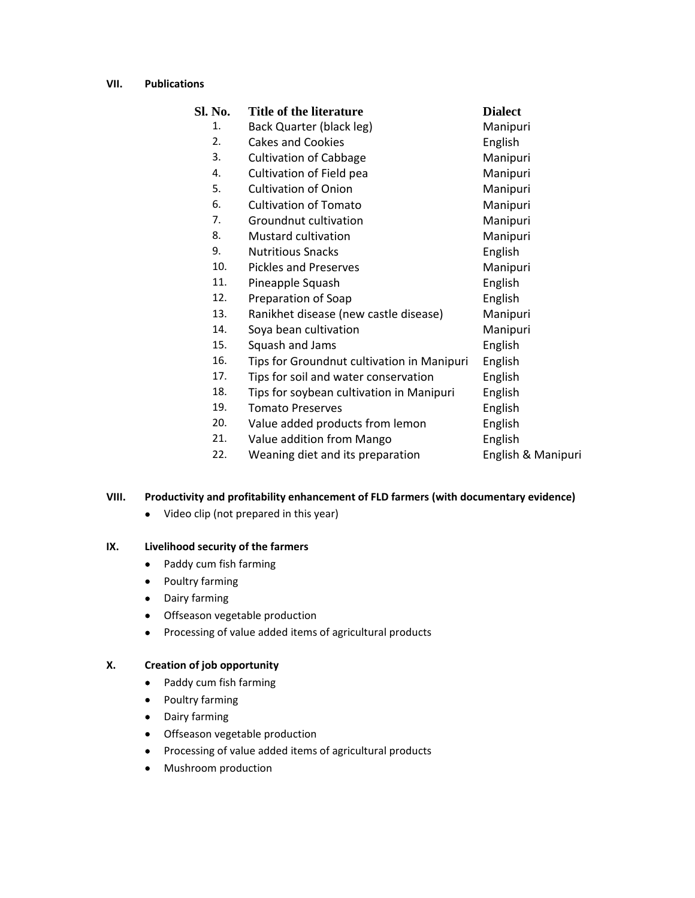#### **VII. Publications**

| Sl. No. | Title of the literature                    | <b>Dialect</b>     |
|---------|--------------------------------------------|--------------------|
| 1.      | Back Quarter (black leg)                   | Manipuri           |
| 2.      | <b>Cakes and Cookies</b>                   | English            |
| 3.      | <b>Cultivation of Cabbage</b>              | Manipuri           |
| 4.      | Cultivation of Field pea                   | Manipuri           |
| 5.      | <b>Cultivation of Onion</b>                | Manipuri           |
| 6.      | <b>Cultivation of Tomato</b>               | Manipuri           |
| 7.      | Groundnut cultivation                      | Manipuri           |
| 8.      | <b>Mustard cultivation</b>                 | Manipuri           |
| 9.      | <b>Nutritious Snacks</b>                   | English            |
| 10.     | <b>Pickles and Preserves</b>               | Manipuri           |
| 11.     | Pineapple Squash                           | English            |
| 12.     | Preparation of Soap                        | English            |
| 13.     | Ranikhet disease (new castle disease)      | Manipuri           |
| 14.     | Soya bean cultivation                      | Manipuri           |
| 15.     | Squash and Jams                            | English            |
| 16.     | Tips for Groundnut cultivation in Manipuri | English            |
| 17.     | Tips for soil and water conservation       | English            |
| 18.     | Tips for soybean cultivation in Manipuri   | English            |
| 19.     | <b>Tomato Preserves</b>                    | English            |
| 20.     | Value added products from lemon            | English            |
| 21.     | Value addition from Mango                  | English            |
| 22.     | Weaning diet and its preparation           | English & Manipuri |
|         |                                            |                    |

# **VIII. Productivity and profitability enhancement of FLD farmers (with documentary evidence)**

• Video clip (not prepared in this year)

## **IX. Livelihood security of the farmers**

- Paddy cum fish farming
- Poultry farming
- Dairy farming
- Offseason vegetable production
- Processing of value added items of agricultural products

## **X. Creation of job opportunity**

- Paddy cum fish farming
- Poultry farming
- Dairy farming
- Offseason vegetable production
- Processing of value added items of agricultural products
- Mushroom production